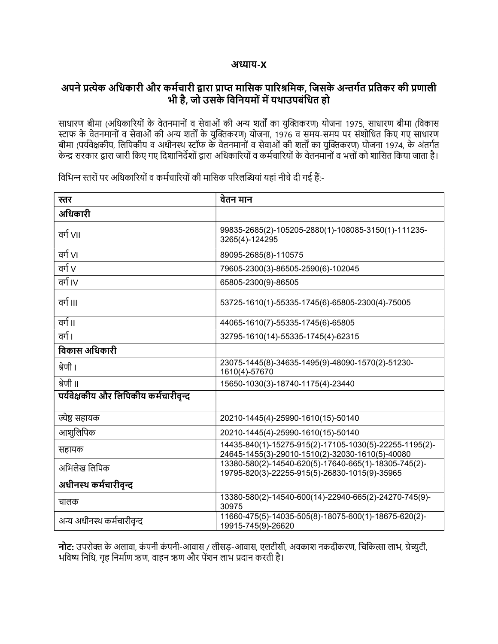## अȯाय-X

## अपने प्रत्येक अधिकारी और कर्मचारी द्वारा प्राप्त मासिक पारिश्रमिक, जिसके अन्तर्गत प्रतिकर की प्रणाली भी है, जो उसके विनियमों में यथाउपबंधित हो

साधारण बीमा (अधिकारियों के वेतनमानों व सेवाओं की अन्य शर्तों का युक्तिकरण) योजना 1975, साधारण बीमा (विकास स्टाफ के वेतनमानों व सेवाओं की अन्य शर्तों के युक्तिकरण) योजना, 1976 व समय-समय पर संशोधित किए गए साधारण बीमा (पर्यवेक्षकीय, लिपिकीय व अधीनस्थ स्टॉफ के वेतनमानों व सेवाओं की शर्तों का युक्तिकरण) योजना 1974, के अंतर्गत केन्द्र सरकार द्वारा जारी किए गए दिशानिर्देशों द्वारा अधिकारियों व कर्मचारियों के वेतनमानों व भत्तों को शासित किया जाता है।

| स्तर                                 | वेतन मान                                                                                                  |
|--------------------------------------|-----------------------------------------------------------------------------------------------------------|
| अधिकारी                              |                                                                                                           |
| वर्ग VII                             | 99835-2685(2)-105205-2880(1)-108085-3150(1)-111235-<br>3265(4)-124295                                     |
| वर्ग VI                              | 89095-2685(8)-110575                                                                                      |
| वर्ग $V$                             | 79605-2300(3)-86505-2590(6)-102045                                                                        |
| वर्ग IV                              | 65805-2300(9)-86505                                                                                       |
| वर्ग ॥।                              | 53725-1610(1)-55335-1745(6)-65805-2300(4)-75005                                                           |
| वर्ग ॥                               | 44065-1610(7)-55335-1745(6)-65805                                                                         |
| वर्ग ।                               | 32795-1610(14)-55335-1745(4)-62315                                                                        |
| विकास अधिकारी                        |                                                                                                           |
| श्रेणी ।                             | 23075-1445(8)-34635-1495(9)-48090-1570(2)-51230-<br>1610(4)-57670                                         |
| श्रेणी ॥                             | 15650-1030(3)-18740-1175(4)-23440                                                                         |
| पर्यवेक्षकीय और लिपिकीय कर्मचारीवन्द |                                                                                                           |
| ज्येष्ठ सहायक                        | 20210-1445(4)-25990-1610(15)-50140                                                                        |
| आशुलिपिक                             | 20210-1445(4)-25990-1610(15)-50140                                                                        |
| सहायक                                | 14435-840(1)-15275-915(2)-17105-1030(5)-22255-1195(2)-<br>24645-1455(3)-29010-1510(2)-32030-1610(5)-40080 |
| अभिलेख लिपिक                         | 13380-580(2)-14540-620(5)-17640-665(1)-18305-745(2)-<br>19795-820(3)-22255-915(5)-26830-1015(9)-35965     |
| अधीनस्थ कर्मचारीवृन्द                |                                                                                                           |
| चालक                                 | 13380-580(2)-14540-600(14)-22940-665(2)-24270-745(9)-<br>30975                                            |
| अन्य अधीनस्थ कर्मचारीवृन्द           | 11660-475(5)-14035-505(8)-18075-600(1)-18675-620(2)-<br>19915-745(9)-26620                                |

विभिन्न स्तरों पर अधिकारियों व कर्मचारियों की मासिक परिलब्धियां यहां नीचे दी गई हैं:-

नोट: उपरोक्त के अलावा, कंपनी कंपनी-आवास / लीसड़-आवास, एलटीसी, अवकाश नकदीकरण, चिकित्सा लाभ, ग्रेच्युटी, भविष्य निधि, गृह निर्माण ऋण, वाहन ऋण और पेंशन लाभ प्रदान करती है।